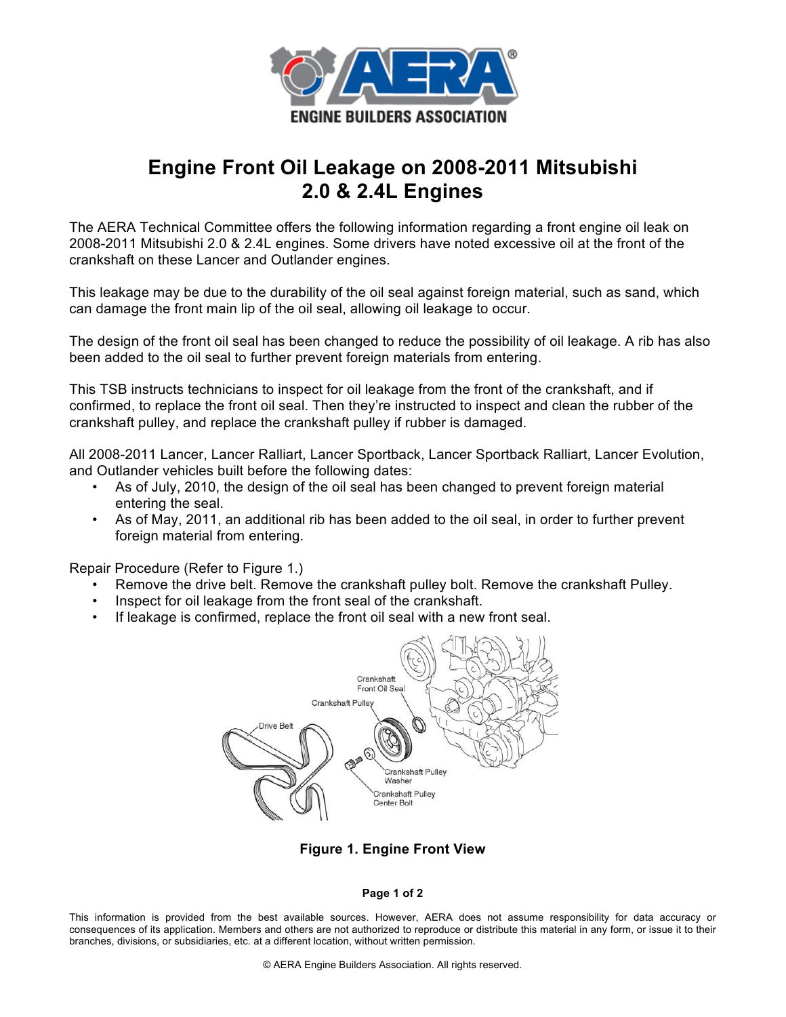

## **Engine Front Oil Leakage on 2008-2011 Mitsubishi 2.0 & 2.4L Engines**

The AERA Technical Committee offers the following information regarding a front engine oil leak on 2008-2011 Mitsubishi 2.0 & 2.4L engines. Some drivers have noted excessive oil at the front of the crankshaft on these Lancer and Outlander engines.

This leakage may be due to the durability of the oil seal against foreign material, such as sand, which can damage the front main lip of the oil seal, allowing oil leakage to occur.

The design of the front oil seal has been changed to reduce the possibility of oil leakage. A rib has also been added to the oil seal to further prevent foreign materials from entering.

This TSB instructs technicians to inspect for oil leakage from the front of the crankshaft, and if confirmed, to replace the front oil seal. Then they're instructed to inspect and clean the rubber of the crankshaft pulley, and replace the crankshaft pulley if rubber is damaged.

All 2008-2011 Lancer, Lancer Ralliart, Lancer Sportback, Lancer Sportback Ralliart, Lancer Evolution, and Outlander vehicles built before the following dates:

- As of July, 2010, the design of the oil seal has been changed to prevent foreign material entering the seal.
- As of May, 2011, an additional rib has been added to the oil seal, in order to further prevent foreign material from entering.

Repair Procedure (Refer to Figure 1.)

- Remove the drive belt. Remove the crankshaft pulley bolt. Remove the crankshaft Pulley.
- Inspect for oil leakage from the front seal of the crankshaft.
- If leakage is confirmed, replace the front oil seal with a new front seal.



**Figure 1. Engine Front View**

## **Page 1 of 2**

This information is provided from the best available sources. However, AERA does not assume responsibility for data accuracy or consequences of its application. Members and others are not authorized to reproduce or distribute this material in any form, or issue it to their branches, divisions, or subsidiaries, etc. at a different location, without written permission.